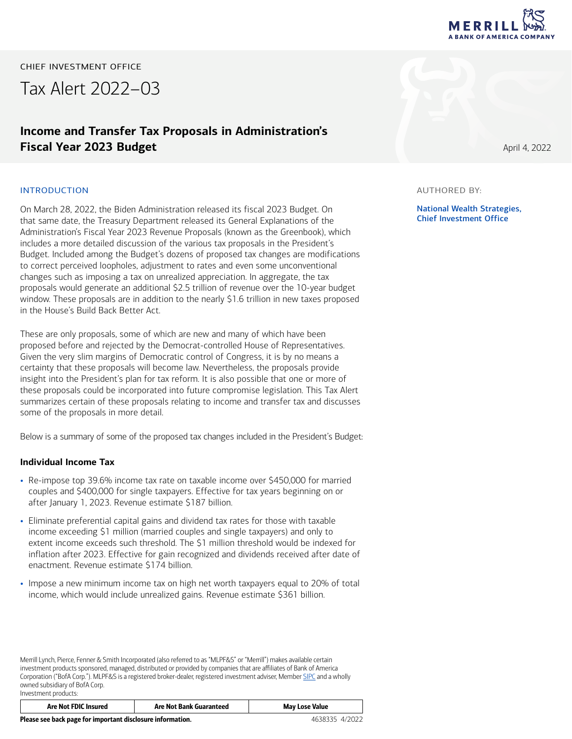

CHIEF INVESTMENT OFFICE

Tax Alert 2022–03

# **Income and Transfer Tax Proposals in Administration's Fiscal Year 2023 Budget April 4, 2022 April 4, 2022**

### INTRODUCTION

On March 28, 2022, the Biden Administration released its fiscal 2023 Budget. On that same date, the Treasury Department released its General Explanations of the Administration's Fiscal Year 2023 Revenue Proposals (known as the Greenbook), which includes a more detailed discussion of the various tax proposals in the President's Budget. Included among the Budget's dozens of proposed tax changes are modifications to correct perceived loopholes, adjustment to rates and even some unconventional changes such as imposing a tax on unrealized appreciation. In aggregate, the tax proposals would generate an additional \$2.5 trillion of revenue over the 10-year budget window. These proposals are in addition to the nearly \$1.6 trillion in new taxes proposed in the House's Build Back Better Act.

These are only proposals, some of which are new and many of which have been proposed before and rejected by the Democrat-controlled House of Representatives. Given the very slim margins of Democratic control of Congress, it is by no means a certainty that these proposals will become law. Nevertheless, the proposals provide insight into the President's plan for tax reform. It is also possible that one or more of these proposals could be incorporated into future compromise legislation. This Tax Alert summarizes certain of these proposals relating to income and transfer tax and discusses some of the proposals in more detail.

Below is a summary of some of the proposed tax changes included in the President's Budget:

### **Individual Income Tax**

- Re-impose top 39.6% income tax rate on taxable income over \$450,000 for married couples and \$400,000 for single taxpayers. Effective for tax years beginning on or after January 1, 2023. Revenue estimate \$187 billion.
- Eliminate preferential capital gains and dividend tax rates for those with taxable income exceeding \$1 million (married couples and single taxpayers) and only to extent income exceeds such threshold. The \$1 million threshold would be indexed for inflation after 2023. Effective for gain recognized and dividends received after date of enactment. Revenue estimate \$174 billion.
- Impose a new minimum income tax on high net worth taxpayers equal to 20% of total income, which would include unrealized gains. Revenue estimate \$361 billion.

Merrill Lynch, Pierce, Fenner & Smith Incorporated (also referred to as "MLPF&S" or "Merrill") makes available certain investment products sponsored, managed, distributed or provided by companies that are affiliates of Bank of America Corporation ("BofA Corp."). MLPF&S is a registered broker-dealer, registered investment adviser, Member [SIPC](https://www.sipc.org/) and a wholly owned subsidiary of BofA Corp. Investment products:

| <b>Are Not FDIC Insured</b> | <b>Are Not Bank Guaranteed</b> | <b>May Lose Value</b> |
|-----------------------------|--------------------------------|-----------------------|
|                             |                                |                       |

AUTHORED BY:

National Wealth Strategies, Chief Investment Office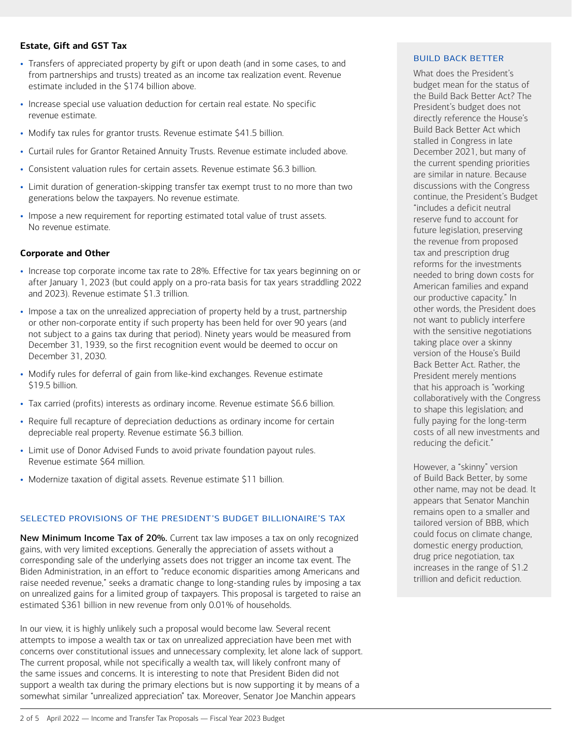### **Estate, Gift and GST Tax**

- Transfers of appreciated property by gift or upon death (and in some cases, to and from partnerships and trusts) treated as an income tax realization event. Revenue estimate included in the \$174 billion above.
- Increase special use valuation deduction for certain real estate. No specific revenue estimate.
- Modify tax rules for grantor trusts. Revenue estimate \$41.5 billion.
- Curtail rules for Grantor Retained Annuity Trusts. Revenue estimate included above.
- Consistent valuation rules for certain assets. Revenue estimate \$6.3 billion.
- Limit duration of generation-skipping transfer tax exempt trust to no more than two generations below the taxpayers. No revenue estimate.
- Impose a new requirement for reporting estimated total value of trust assets. No revenue estimate.

### **Corporate and Other**

- Increase top corporate income tax rate to 28%. Effective for tax years beginning on or after January 1, 2023 (but could apply on a pro-rata basis for tax years straddling 2022 and 2023). Revenue estimate \$1.3 trillion.
- Impose a tax on the unrealized appreciation of property held by a trust, partnership or other non-corporate entity if such property has been held for over 90 years (and not subject to a gains tax during that period). Ninety years would be measured from December 31, 1939, so the first recognition event would be deemed to occur on December 31, 2030.
- Modify rules for deferral of gain from like-kind exchanges. Revenue estimate \$19.5 billion.
- Tax carried (profits) interests as ordinary income. Revenue estimate \$6.6 billion.
- Require full recapture of depreciation deductions as ordinary income for certain depreciable real property. Revenue estimate \$6.3 billion.
- Limit use of Donor Advised Funds to avoid private foundation payout rules. Revenue estimate \$64 million.
- Modernize taxation of digital assets. Revenue estimate \$11 billion.

### SELECTED PROVISIONS OF THE PRESIDENT'S BUDGET BILLIONAIRE'S TAX

New Minimum Income Tax of 20%. Current tax law imposes a tax on only recognized gains, with very limited exceptions. Generally the appreciation of assets without a corresponding sale of the underlying assets does not trigger an income tax event. The Biden Administration, in an effort to "reduce economic disparities among Americans and raise needed revenue," seeks a dramatic change to long-standing rules by imposing a tax on unrealized gains for a limited group of taxpayers. This proposal is targeted to raise an estimated \$361 billion in new revenue from only 0.01% of households.

In our view, it is highly unlikely such a proposal would become law. Several recent attempts to impose a wealth tax or tax on unrealized appreciation have been met with concerns over constitutional issues and unnecessary complexity, let alone lack of support. The current proposal, while not specifically a wealth tax, will likely confront many of the same issues and concerns. It is interesting to note that President Biden did not support a wealth tax during the primary elections but is now supporting it by means of a somewhat similar "unrealized appreciation" tax. Moreover, Senator Joe Manchin appears

### BUILD BACK BETTER

What does the President's budget mean for the status of the Build Back Better Act? The President's budget does not directly reference the House's Build Back Better Act which stalled in Congress in late December 2021, but many of the current spending priorities are similar in nature. Because discussions with the Congress continue, the President's Budget "includes a deficit neutral reserve fund to account for future legislation, preserving the revenue from proposed tax and prescription drug reforms for the investments needed to bring down costs for American families and expand our productive capacity." In other words, the President does not want to publicly interfere with the sensitive negotiations taking place over a skinny version of the House's Build Back Better Act. Rather, the President merely mentions that his approach is "working collaboratively with the Congress to shape this legislation; and fully paying for the long-term costs of all new investments and reducing the deficit."

However, a "skinny" version of Build Back Better, by some other name, may not be dead. It appears that Senator Manchin remains open to a smaller and tailored version of BBB, which could focus on climate change, domestic energy production, drug price negotiation, tax increases in the range of \$1.2 trillion and deficit reduction.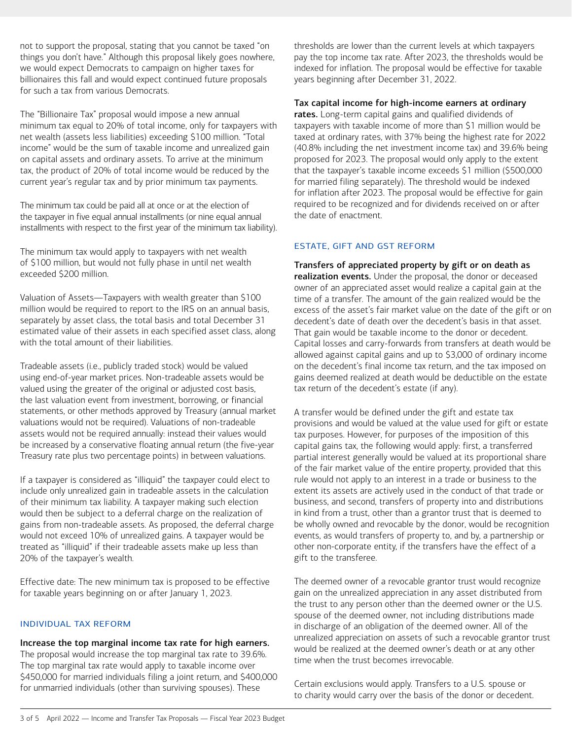not to support the proposal, stating that you cannot be taxed "on things you don't have." Although this proposal likely goes nowhere, we would expect Democrats to campaign on higher taxes for billionaires this fall and would expect continued future proposals for such a tax from various Democrats.

The "Billionaire Tax" proposal would impose a new annual minimum tax equal to 20% of total income, only for taxpayers with net wealth (assets less liabilities) exceeding \$100 million. "Total income" would be the sum of taxable income and unrealized gain on capital assets and ordinary assets. To arrive at the minimum tax, the product of 20% of total income would be reduced by the current year's regular tax and by prior minimum tax payments.

The minimum tax could be paid all at once or at the election of the taxpayer in five equal annual installments (or nine equal annual installments with respect to the first year of the minimum tax liability).

The minimum tax would apply to taxpayers with net wealth of \$100 million, but would not fully phase in until net wealth exceeded \$200 million.

Valuation of Assets—Taxpayers with wealth greater than \$100 million would be required to report to the IRS on an annual basis, separately by asset class, the total basis and total December 31 estimated value of their assets in each specified asset class, along with the total amount of their liabilities.

Tradeable assets (i.e., publicly traded stock) would be valued using end-of-year market prices. Non-tradeable assets would be valued using the greater of the original or adjusted cost basis, the last valuation event from investment, borrowing, or financial statements, or other methods approved by Treasury (annual market valuations would not be required). Valuations of non-tradeable assets would not be required annually: instead their values would be increased by a conservative floating annual return (the five-year Treasury rate plus two percentage points) in between valuations.

If a taxpayer is considered as "illiquid" the taxpayer could elect to include only unrealized gain in tradeable assets in the calculation of their minimum tax liability. A taxpayer making such election would then be subject to a deferral charge on the realization of gains from non-tradeable assets. As proposed, the deferral charge would not exceed 10% of unrealized gains. A taxpayer would be treated as "illiquid" if their tradeable assets make up less than 20% of the taxpayer's wealth.

Effective date: The new minimum tax is proposed to be effective for taxable years beginning on or after January 1, 2023.

### INDIVIDUAL TAX REFORM

# Increase the top marginal income tax rate for high earners.

The proposal would increase the top marginal tax rate to 39.6%. The top marginal tax rate would apply to taxable income over \$450,000 for married individuals filing a joint return, and \$400,000 for unmarried individuals (other than surviving spouses). These

thresholds are lower than the current levels at which taxpayers pay the top income tax rate. After 2023, the thresholds would be indexed for inflation. The proposal would be effective for taxable years beginning after December 31, 2022.

## Tax capital income for high-income earners at ordinary

rates. Long-term capital gains and qualified dividends of taxpayers with taxable income of more than \$1 million would be taxed at ordinary rates, with 37% being the highest rate for 2022 (40.8% including the net investment income tax) and 39.6% being proposed for 2023. The proposal would only apply to the extent that the taxpayer's taxable income exceeds \$1 million (\$500,000 for married filing separately). The threshold would be indexed for inflation after 2023. The proposal would be effective for gain required to be recognized and for dividends received on or after the date of enactment.

# ESTATE, GIFT AND GST REFORM

Transfers of appreciated property by gift or on death as realization events. Under the proposal, the donor or deceased owner of an appreciated asset would realize a capital gain at the time of a transfer. The amount of the gain realized would be the excess of the asset's fair market value on the date of the gift or on decedent's date of death over the decedent's basis in that asset. That gain would be taxable income to the donor or decedent. Capital losses and carry-forwards from transfers at death would be allowed against capital gains and up to \$3,000 of ordinary income on the decedent's final income tax return, and the tax imposed on gains deemed realized at death would be deductible on the estate tax return of the decedent's estate (if any).

A transfer would be defined under the gift and estate tax provisions and would be valued at the value used for gift or estate tax purposes. However, for purposes of the imposition of this capital gains tax, the following would apply: first, a transferred partial interest generally would be valued at its proportional share of the fair market value of the entire property, provided that this rule would not apply to an interest in a trade or business to the extent its assets are actively used in the conduct of that trade or business, and second, transfers of property into and distributions in kind from a trust, other than a grantor trust that is deemed to be wholly owned and revocable by the donor, would be recognition events, as would transfers of property to, and by, a partnership or other non-corporate entity, if the transfers have the effect of a gift to the transferee.

The deemed owner of a revocable grantor trust would recognize gain on the unrealized appreciation in any asset distributed from the trust to any person other than the deemed owner or the U.S. spouse of the deemed owner, not including distributions made in discharge of an obligation of the deemed owner. All of the unrealized appreciation on assets of such a revocable grantor trust would be realized at the deemed owner's death or at any other time when the trust becomes irrevocable.

Certain exclusions would apply. Transfers to a U.S. spouse or to charity would carry over the basis of the donor or decedent.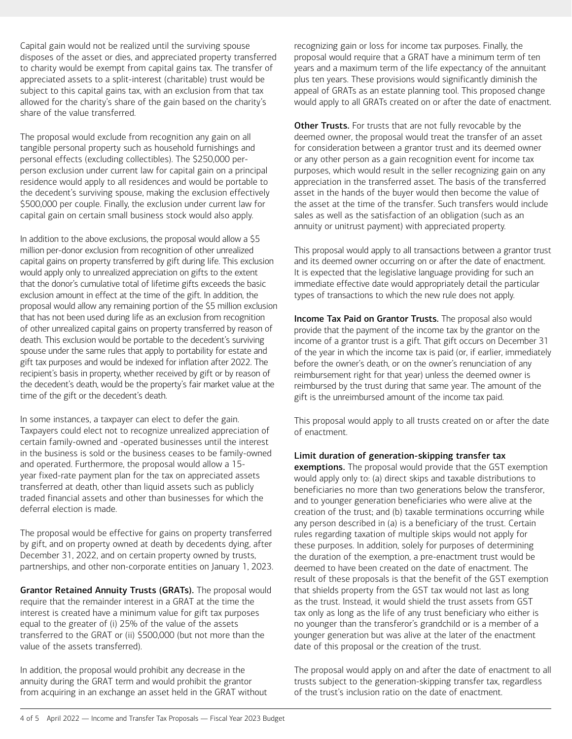Capital gain would not be realized until the surviving spouse disposes of the asset or dies, and appreciated property transferred to charity would be exempt from capital gains tax. The transfer of appreciated assets to a split-interest (charitable) trust would be subject to this capital gains tax, with an exclusion from that tax allowed for the charity's share of the gain based on the charity's share of the value transferred.

The proposal would exclude from recognition any gain on all tangible personal property such as household furnishings and personal effects (excluding collectibles). The \$250,000 perperson exclusion under current law for capital gain on a principal residence would apply to all residences and would be portable to the decedent's surviving spouse, making the exclusion effectively \$500,000 per couple. Finally, the exclusion under current law for capital gain on certain small business stock would also apply.

In addition to the above exclusions, the proposal would allow a \$5 million per-donor exclusion from recognition of other unrealized capital gains on property transferred by gift during life. This exclusion would apply only to unrealized appreciation on gifts to the extent that the donor's cumulative total of lifetime gifts exceeds the basic exclusion amount in effect at the time of the gift. In addition, the proposal would allow any remaining portion of the \$5 million exclusion that has not been used during life as an exclusion from recognition of other unrealized capital gains on property transferred by reason of death. This exclusion would be portable to the decedent's surviving spouse under the same rules that apply to portability for estate and gift tax purposes and would be indexed for inflation after 2022. The recipient's basis in property, whether received by gift or by reason of the decedent's death, would be the property's fair market value at the time of the gift or the decedent's death.

In some instances, a taxpayer can elect to defer the gain. Taxpayers could elect not to recognize unrealized appreciation of certain family-owned and -operated businesses until the interest in the business is sold or the business ceases to be family-owned and operated. Furthermore, the proposal would allow a 15 year fixed-rate payment plan for the tax on appreciated assets transferred at death, other than liquid assets such as publicly traded financial assets and other than businesses for which the deferral election is made.

The proposal would be effective for gains on property transferred by gift, and on property owned at death by decedents dying, after December 31, 2022, and on certain property owned by trusts, partnerships, and other non-corporate entities on January 1, 2023.

Grantor Retained Annuity Trusts (GRATs). The proposal would require that the remainder interest in a GRAT at the time the interest is created have a minimum value for gift tax purposes equal to the greater of (i) 25% of the value of the assets transferred to the GRAT or (ii) \$500,000 (but not more than the value of the assets transferred).

In addition, the proposal would prohibit any decrease in the annuity during the GRAT term and would prohibit the grantor from acquiring in an exchange an asset held in the GRAT without recognizing gain or loss for income tax purposes. Finally, the proposal would require that a GRAT have a minimum term of ten years and a maximum term of the life expectancy of the annuitant plus ten years. These provisions would significantly diminish the appeal of GRATs as an estate planning tool. This proposed change would apply to all GRATs created on or after the date of enactment.

**Other Trusts.** For trusts that are not fully revocable by the deemed owner, the proposal would treat the transfer of an asset for consideration between a grantor trust and its deemed owner or any other person as a gain recognition event for income tax purposes, which would result in the seller recognizing gain on any appreciation in the transferred asset. The basis of the transferred asset in the hands of the buyer would then become the value of the asset at the time of the transfer. Such transfers would include sales as well as the satisfaction of an obligation (such as an annuity or unitrust payment) with appreciated property.

This proposal would apply to all transactions between a grantor trust and its deemed owner occurring on or after the date of enactment. It is expected that the legislative language providing for such an immediate effective date would appropriately detail the particular types of transactions to which the new rule does not apply.

Income Tax Paid on Grantor Trusts. The proposal also would provide that the payment of the income tax by the grantor on the income of a grantor trust is a gift. That gift occurs on December 31 of the year in which the income tax is paid (or, if earlier, immediately before the owner's death, or on the owner's renunciation of any reimbursement right for that year) unless the deemed owner is reimbursed by the trust during that same year. The amount of the gift is the unreimbursed amount of the income tax paid.

This proposal would apply to all trusts created on or after the date of enactment.

Limit duration of generation-skipping transfer tax

exemptions. The proposal would provide that the GST exemption would apply only to: (a) direct skips and taxable distributions to beneficiaries no more than two generations below the transferor, and to younger generation beneficiaries who were alive at the creation of the trust; and (b) taxable terminations occurring while any person described in (a) is a beneficiary of the trust. Certain rules regarding taxation of multiple skips would not apply for these purposes. In addition, solely for purposes of determining the duration of the exemption, a pre-enactment trust would be deemed to have been created on the date of enactment. The result of these proposals is that the benefit of the GST exemption that shields property from the GST tax would not last as long as the trust. Instead, it would shield the trust assets from GST tax only as long as the life of any trust beneficiary who either is no younger than the transferor's grandchild or is a member of a younger generation but was alive at the later of the enactment date of this proposal or the creation of the trust.

The proposal would apply on and after the date of enactment to all trusts subject to the generation-skipping transfer tax, regardless of the trust's inclusion ratio on the date of enactment.